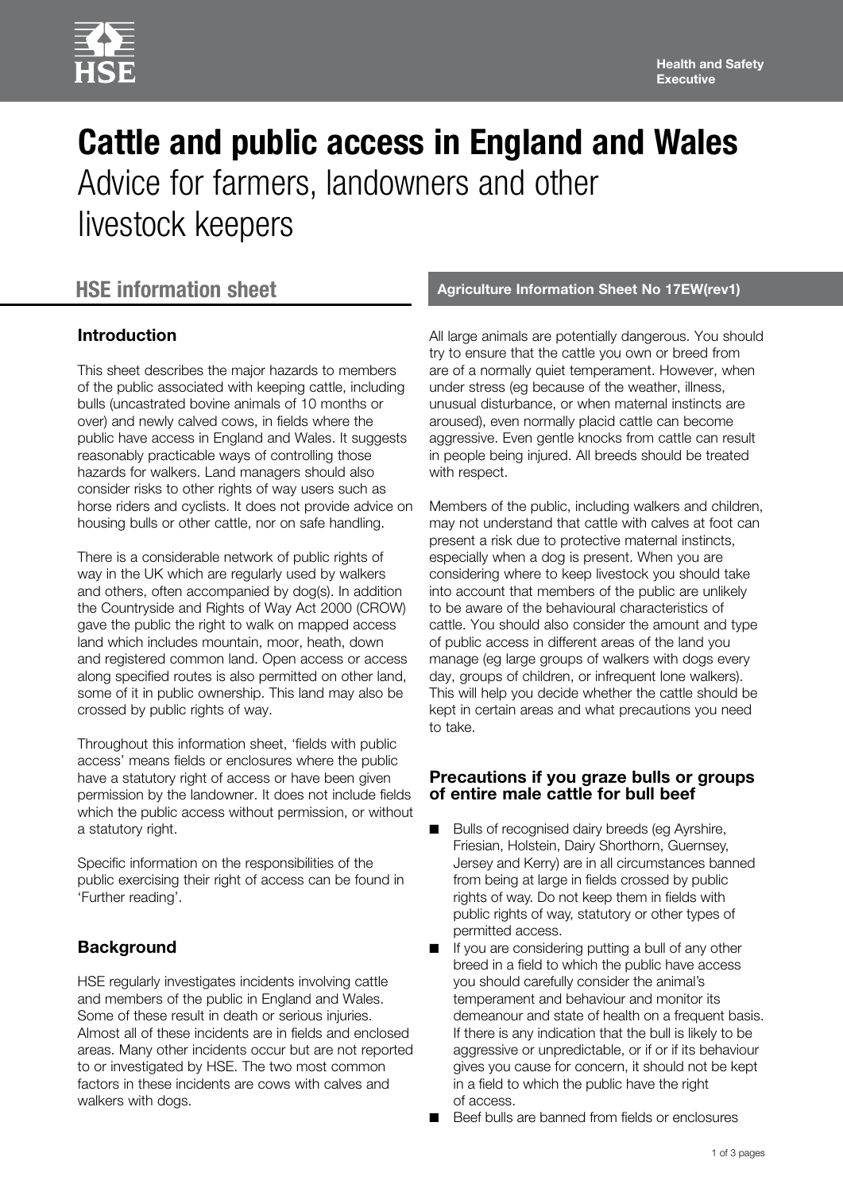# **Cattle and public access in England and Wales**  Advice for farmers, landowners and other livestock keepers

# **Introduction**

This sheet describes the major hazards to members of the public associated with keeping cattle, including bulls (uncastrated bovine animals of 10 months or over) and newly calved cows, in fields where the public have access in England and Wales. It suggests reasonably practicable ways of controlling those hazards for walkers. Land managers should also consider risks to other rights of way users such as horse riders and cyclists. It does not provide advice on housing bulls or other cattle, nor on safe handling.

There is a considerable network of public rights of way in the UK which are regularly used by walkers and others, often accompanied by dog(s). In addition the Countryside and Rights of Way Act 2000 (CROW) gave the public the right to walk on mapped access land which includes mountain, moor, heath, down and registered common land. Open access or access along specified routes is also permitted on other land, some of it in public ownership. This land may also be crossed by public rights of way.

Throughout this information sheet, 'fields with public access' means fields or enclosures where the public have a statutory right of access or have been given permission by the landowner. It does not include fields which the public access without permission, or without a statutory right.

Specific information on the responsibilities of the public exercising their right of access can be found in 'Further reading'.

# **Background**

HSE regularly investigates incidents involving cattle and members of the public in England and Wales. Some of these result in death or serious injuries. Almost all of these incidents are in fields and enclosed areas. Many other incidents occur but are not reported to or investigated by HSE. The two most common factors in these incidents are cows with calves and walkers with dogs.

### **HSE information sheet Agriculture Information Sheet No 17EW(rev1) Agriculture Information Sheet No 17EW(rev1)**

All large animals are potentially dangerous. You should try to ensure that the cattle you own or breed from are of a normally quiet temperament. However, when under stress (eg because of the weather, illness, unusual disturbance, or when maternal instincts are aroused), even normally placid cattle can become aggressive. Even gentle knocks from cattle can result in people being injured. All breeds should be treated with respect.

Members of the public, including walkers and children, may not understand that cattle with calves at foot can present a risk due to protective maternal instincts, especially when a dog is present. When you are considering where to keep livestock you should take into account that members of the public are unlikely to be aware of the behavioural characteristics of cattle. You should also consider the amount and type of public access in different areas of the land you manage (eg large groups of walkers with dogs every day, groups of children, or infrequent lone walkers). This will help you decide whether the cattle should be kept in certain areas and what precautions you need to take.

#### **Precautions if you graze bulls or groups of entire male cattle for bull beef**

- Bulls of recognised dairy breeds (eg Ayrshire, Friesian, Holstein, Dairy Shorthorn, Guernsey, Jersey and Kerry) are in all circumstances banned from being at large in fields crossed by public rights of way. Do not keep them in fields with public rights of way, statutory or other types of permitted access.
- If you are considering putting a bull of any other breed in a field to which the public have access you should carefully consider the animal's temperament and behaviour and monitor its demeanour and state of health on a frequent basis. If there is any indication that the bull is likely to be aggressive or unpredictable, or if or if its behaviour gives you cause for concern, it should not be kept in a field to which the public have the right of access.
- Beef bulls are banned from fields or enclosures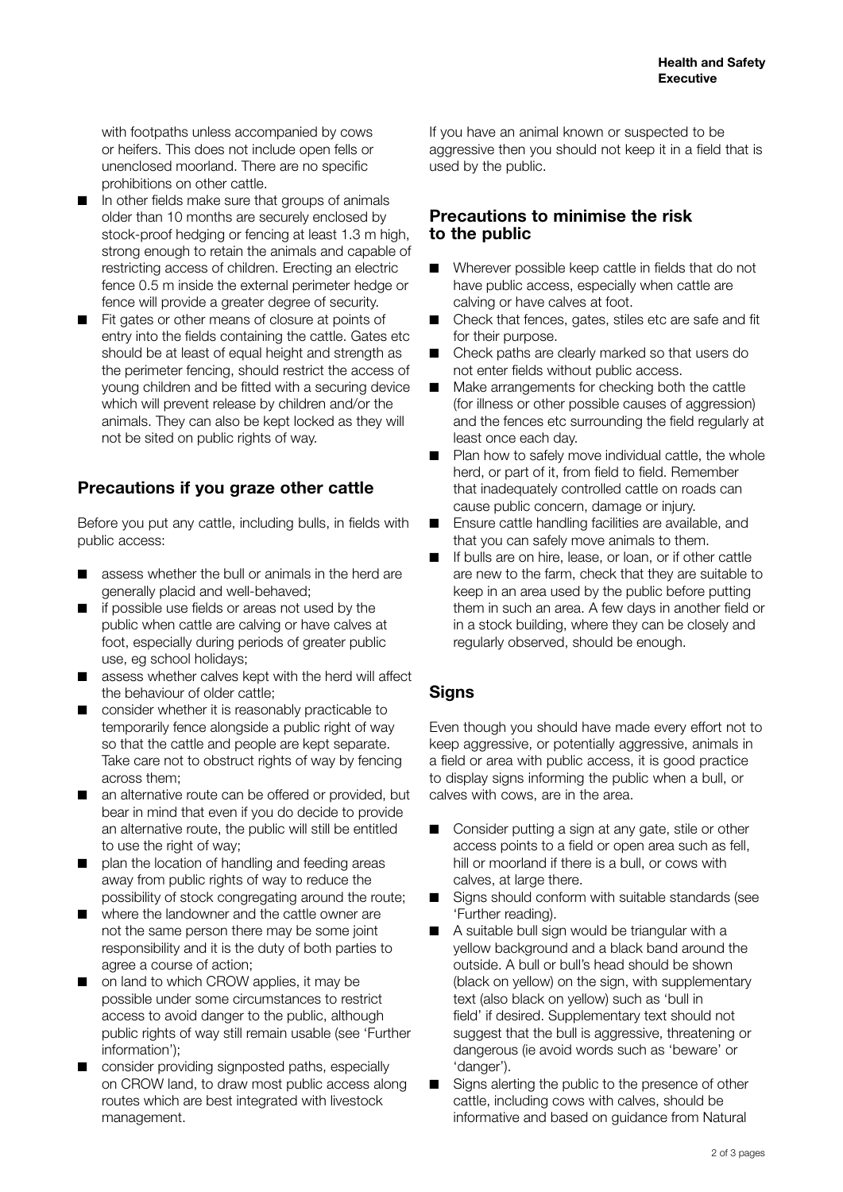with footpaths unless accompanied by cows or heifers. This does not include open fells or unenclosed moorland. There are no specific prohibitions on other cattle.

- In other fields make sure that groups of animals older than 10 months are securely enclosed by stock-proof hedging or fencing at least 1.3 m high, strong enough to retain the animals and capable of restricting access of children. Erecting an electric fence 0.5 m inside the external perimeter hedge or fence will provide a greater degree of security.
- Fit gates or other means of closure at points of entry into the fields containing the cattle. Gates etc should be at least of equal height and strength as the perimeter fencing, should restrict the access of young children and be fitted with a securing device which will prevent release by children and/or the animals. They can also be kept locked as they will not be sited on public rights of way.

## **Precautions if you graze other cattle**

Before you put any cattle, including bulls, in fields with public access:

- assess whether the bull or animals in the herd are generally placid and well-behaved;
- if possible use fields or areas not used by the public when cattle are calving or have calves at foot, especially during periods of greater public use, eg school holidays;
- assess whether calves kept with the herd will affect the behaviour of older cattle;
- consider whether it is reasonably practicable to temporarily fence alongside a public right of way so that the cattle and people are kept separate. Take care not to obstruct rights of way by fencing across them;
- an alternative route can be offered or provided, but bear in mind that even if you do decide to provide an alternative route, the public will still be entitled to use the right of way;
- plan the location of handling and feeding areas away from public rights of way to reduce the possibility of stock congregating around the route;
- where the landowner and the cattle owner are not the same person there may be some joint responsibility and it is the duty of both parties to agree a course of action;
- on land to which CROW applies, it may be possible under some circumstances to restrict access to avoid danger to the public, although public rights of way still remain usable (see 'Further information');
- consider providing signposted paths, especially on CROW land, to draw most public access along routes which are best integrated with livestock management.

If you have an animal known or suspected to be aggressive then you should not keep it in a field that is used by the public.

#### **Precautions to minimise the risk to the public**

- Wherever possible keep cattle in fields that do not have public access, especially when cattle are calving or have calves at foot.
- Check that fences, gates, stiles etc are safe and fit for their purpose.
- Check paths are clearly marked so that users do not enter fields without public access.
- Make arrangements for checking both the cattle (for illness or other possible causes of aggression) and the fences etc surrounding the field regularly at least once each day.
- Plan how to safely move individual cattle, the whole herd, or part of it, from field to field. Remember that inadequately controlled cattle on roads can cause public concern, damage or injury.
- Ensure cattle handling facilities are available, and that you can safely move animals to them.
- If bulls are on hire, lease, or loan, or if other cattle are new to the farm, check that they are suitable to keep in an area used by the public before putting them in such an area. A few days in another field or in a stock building, where they can be closely and regularly observed, should be enough.

# **Signs**

Even though you should have made every effort not to keep aggressive, or potentially aggressive, animals in a field or area with public access, it is good practice to display signs informing the public when a bull, or calves with cows, are in the area.

- Consider putting a sign at any gate, stile or other access points to a field or open area such as fell, hill or moorland if there is a bull, or cows with calves, at large there.
- Signs should conform with suitable standards (see 'Further reading).
- A suitable bull sign would be triangular with a yellow background and a black band around the outside. A bull or bull's head should be shown (black on yellow) on the sign, with supplementary text (also black on yellow) such as 'bull in field' if desired. Supplementary text should not suggest that the bull is aggressive, threatening or dangerous (ie avoid words such as 'beware' or 'danger').
- Signs alerting the public to the presence of other cattle, including cows with calves, should be informative and based on guidance from Natural